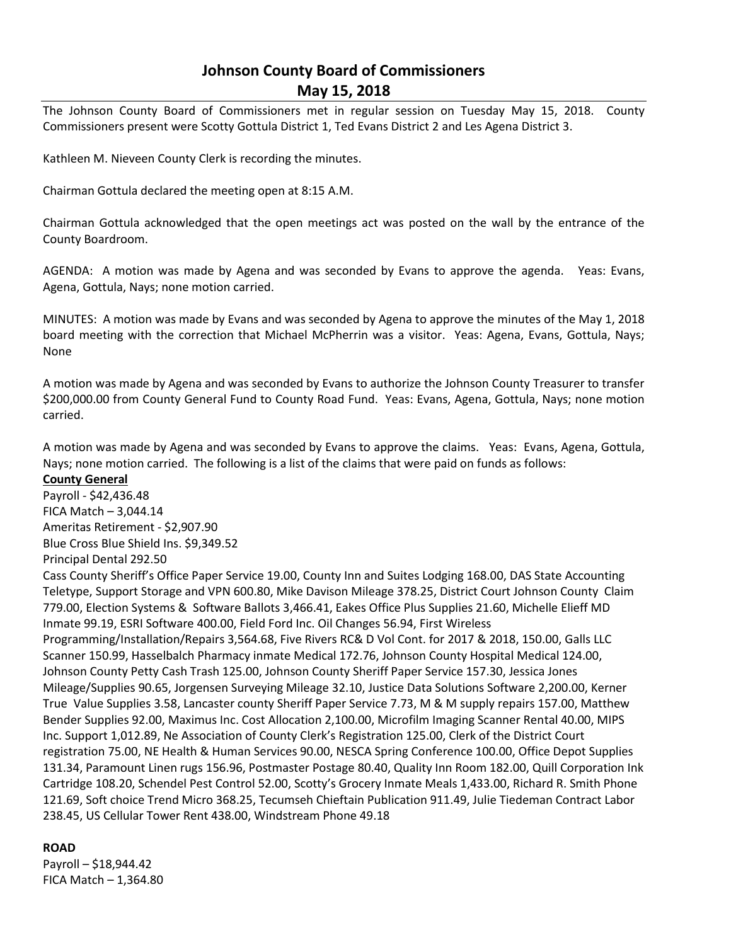# **Johnson County Board of Commissioners May 15, 2018**

The Johnson County Board of Commissioners met in regular session on Tuesday May 15, 2018. County Commissioners present were Scotty Gottula District 1, Ted Evans District 2 and Les Agena District 3.

Kathleen M. Nieveen County Clerk is recording the minutes.

Chairman Gottula declared the meeting open at 8:15 A.M.

Chairman Gottula acknowledged that the open meetings act was posted on the wall by the entrance of the County Boardroom.

AGENDA: A motion was made by Agena and was seconded by Evans to approve the agenda. Yeas: Evans, Agena, Gottula, Nays; none motion carried.

MINUTES: A motion was made by Evans and was seconded by Agena to approve the minutes of the May 1, 2018 board meeting with the correction that Michael McPherrin was a visitor. Yeas: Agena, Evans, Gottula, Nays; None

A motion was made by Agena and was seconded by Evans to authorize the Johnson County Treasurer to transfer \$200,000.00 from County General Fund to County Road Fund. Yeas: Evans, Agena, Gottula, Nays; none motion carried.

A motion was made by Agena and was seconded by Evans to approve the claims. Yeas: Evans, Agena, Gottula, Nays; none motion carried. The following is a list of the claims that were paid on funds as follows:

## **County General**

Payroll - \$42,436.48 FICA Match – 3,044.14 Ameritas Retirement - \$2,907.90 Blue Cross Blue Shield Ins. \$9,349.52 Principal Dental 292.50

Cass County Sheriff's Office Paper Service 19.00, County Inn and Suites Lodging 168.00, DAS State Accounting Teletype, Support Storage and VPN 600.80, Mike Davison Mileage 378.25, District Court Johnson County Claim 779.00, Election Systems & Software Ballots 3,466.41, Eakes Office Plus Supplies 21.60, Michelle Elieff MD Inmate 99.19, ESRI Software 400.00, Field Ford Inc. Oil Changes 56.94, First Wireless

Programming/Installation/Repairs 3,564.68, Five Rivers RC& D Vol Cont. for 2017 & 2018, 150.00, Galls LLC Scanner 150.99, Hasselbalch Pharmacy inmate Medical 172.76, Johnson County Hospital Medical 124.00, Johnson County Petty Cash Trash 125.00, Johnson County Sheriff Paper Service 157.30, Jessica Jones Mileage/Supplies 90.65, Jorgensen Surveying Mileage 32.10, Justice Data Solutions Software 2,200.00, Kerner True Value Supplies 3.58, Lancaster county Sheriff Paper Service 7.73, M & M supply repairs 157.00, Matthew Bender Supplies 92.00, Maximus Inc. Cost Allocation 2,100.00, Microfilm Imaging Scanner Rental 40.00, MIPS Inc. Support 1,012.89, Ne Association of County Clerk's Registration 125.00, Clerk of the District Court registration 75.00, NE Health & Human Services 90.00, NESCA Spring Conference 100.00, Office Depot Supplies 131.34, Paramount Linen rugs 156.96, Postmaster Postage 80.40, Quality Inn Room 182.00, Quill Corporation Ink Cartridge 108.20, Schendel Pest Control 52.00, Scotty's Grocery Inmate Meals 1,433.00, Richard R. Smith Phone 121.69, Soft choice Trend Micro 368.25, Tecumseh Chieftain Publication 911.49, Julie Tiedeman Contract Labor 238.45, US Cellular Tower Rent 438.00, Windstream Phone 49.18

## **ROAD**

Payroll – \$18,944.42 FICA Match  $-1,364.80$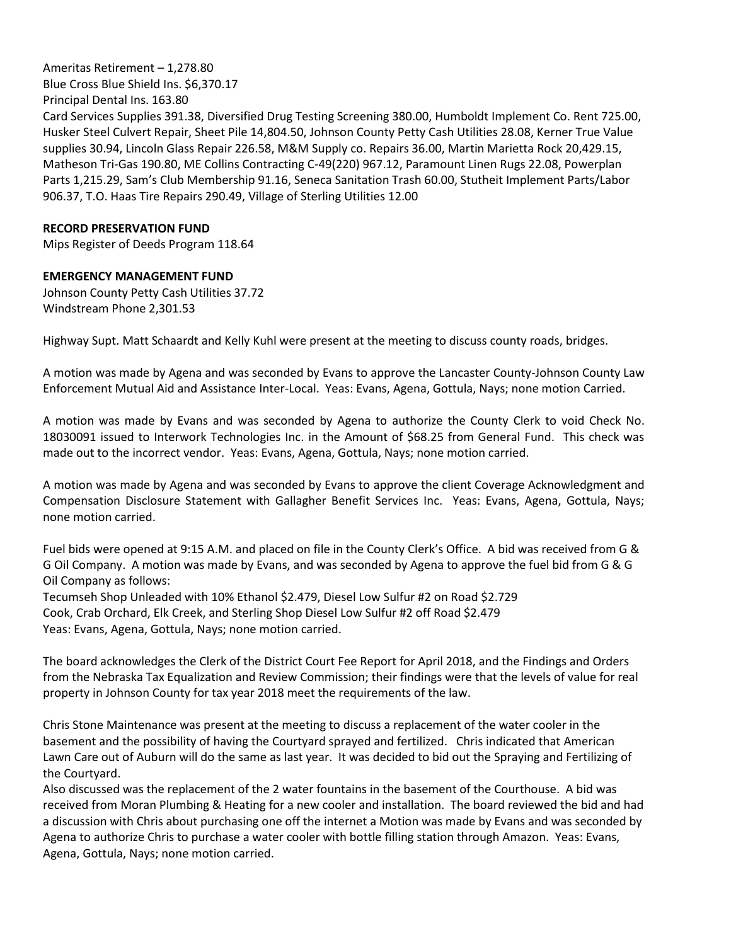Ameritas Retirement – 1,278.80 Blue Cross Blue Shield Ins. \$6,370.17 Principal Dental Ins. 163.80 Card Services Supplies 391.38, Diversified Drug Testing Screening 380.00, Humboldt Implement Co. Rent 725.00, Husker Steel Culvert Repair, Sheet Pile 14,804.50, Johnson County Petty Cash Utilities 28.08, Kerner True Value supplies 30.94, Lincoln Glass Repair 226.58, M&M Supply co. Repairs 36.00, Martin Marietta Rock 20,429.15, Matheson Tri-Gas 190.80, ME Collins Contracting C-49(220) 967.12, Paramount Linen Rugs 22.08, Powerplan Parts 1,215.29, Sam's Club Membership 91.16, Seneca Sanitation Trash 60.00, Stutheit Implement Parts/Labor 906.37, T.O. Haas Tire Repairs 290.49, Village of Sterling Utilities 12.00

#### **RECORD PRESERVATION FUND**

Mips Register of Deeds Program 118.64

#### **EMERGENCY MANAGEMENT FUND**

Johnson County Petty Cash Utilities 37.72 Windstream Phone 2,301.53

Highway Supt. Matt Schaardt and Kelly Kuhl were present at the meeting to discuss county roads, bridges.

A motion was made by Agena and was seconded by Evans to approve the Lancaster County-Johnson County Law Enforcement Mutual Aid and Assistance Inter-Local. Yeas: Evans, Agena, Gottula, Nays; none motion Carried.

A motion was made by Evans and was seconded by Agena to authorize the County Clerk to void Check No. 18030091 issued to Interwork Technologies Inc. in the Amount of \$68.25 from General Fund. This check was made out to the incorrect vendor. Yeas: Evans, Agena, Gottula, Nays; none motion carried.

A motion was made by Agena and was seconded by Evans to approve the client Coverage Acknowledgment and Compensation Disclosure Statement with Gallagher Benefit Services Inc. Yeas: Evans, Agena, Gottula, Nays; none motion carried.

Fuel bids were opened at 9:15 A.M. and placed on file in the County Clerk's Office. A bid was received from G & G Oil Company. A motion was made by Evans, and was seconded by Agena to approve the fuel bid from G & G Oil Company as follows:

Tecumseh Shop Unleaded with 10% Ethanol \$2.479, Diesel Low Sulfur #2 on Road \$2.729 Cook, Crab Orchard, Elk Creek, and Sterling Shop Diesel Low Sulfur #2 off Road \$2.479 Yeas: Evans, Agena, Gottula, Nays; none motion carried.

The board acknowledges the Clerk of the District Court Fee Report for April 2018, and the Findings and Orders from the Nebraska Tax Equalization and Review Commission; their findings were that the levels of value for real property in Johnson County for tax year 2018 meet the requirements of the law.

Chris Stone Maintenance was present at the meeting to discuss a replacement of the water cooler in the basement and the possibility of having the Courtyard sprayed and fertilized. Chris indicated that American Lawn Care out of Auburn will do the same as last year. It was decided to bid out the Spraying and Fertilizing of the Courtyard.

Also discussed was the replacement of the 2 water fountains in the basement of the Courthouse. A bid was received from Moran Plumbing & Heating for a new cooler and installation. The board reviewed the bid and had a discussion with Chris about purchasing one off the internet a Motion was made by Evans and was seconded by Agena to authorize Chris to purchase a water cooler with bottle filling station through Amazon. Yeas: Evans, Agena, Gottula, Nays; none motion carried.